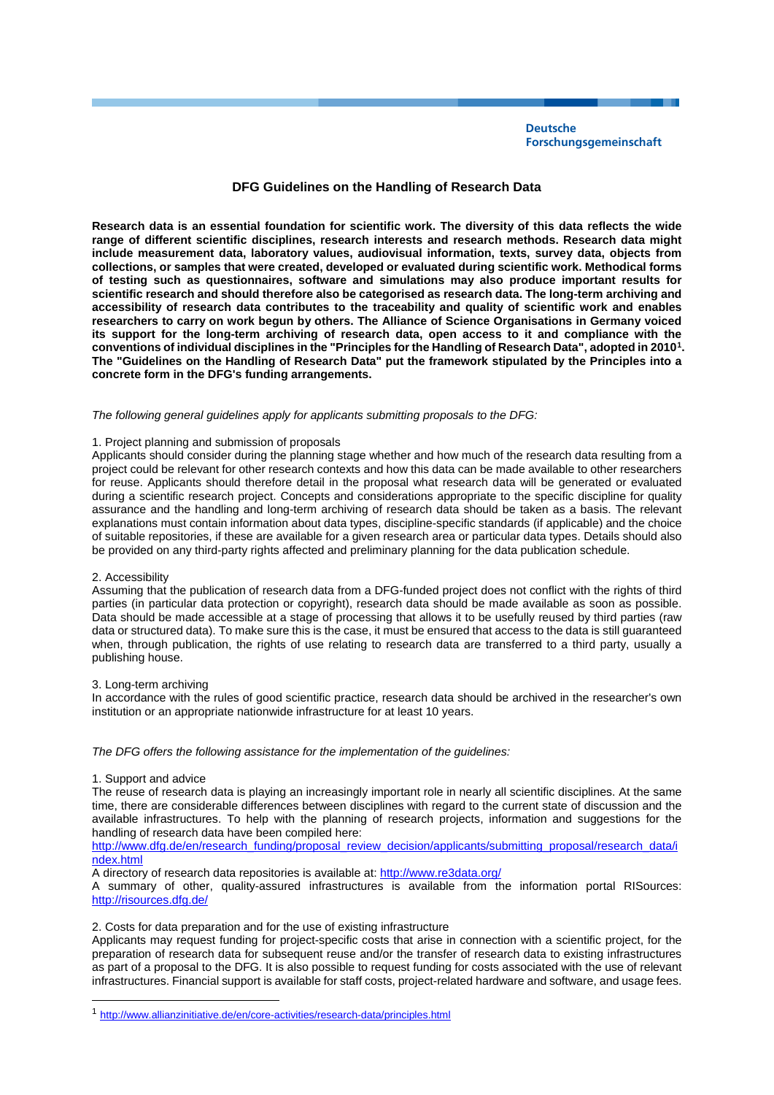# **DFG Guidelines on the Handling of Research Data**

**Research data is an essential foundation for scientific work. The diversity of this data reflects the wide range of different scientific disciplines, research interests and research methods. Research data might include measurement data, laboratory values, audiovisual information, texts, survey data, objects from collections, or samples that were created, developed or evaluated during scientific work. Methodical forms of testing such as questionnaires, software and simulations may also produce important results for scientific research and should therefore also be categorised as research data. The long-term archiving and accessibility of research data contributes to the traceability and quality of scientific work and enables researchers to carry on work begun by others. The Alliance of Science Organisations in Germany voiced its support for the long-term archiving of research data, open access to it and compliance with the conventions of individual disciplines in the "Principles for the Handling of Research Data", adopted in 2010[1](#page-0-0). The "Guidelines on the Handling of Research Data" put the framework stipulated by the Principles into a concrete form in the DFG's funding arrangements.**

### *The following general guidelines apply for applicants submitting proposals to the DFG:*

### 1. Project planning and submission of proposals

Applicants should consider during the planning stage whether and how much of the research data resulting from a project could be relevant for other research contexts and how this data can be made available to other researchers for reuse. Applicants should therefore detail in the proposal what research data will be generated or evaluated during a scientific research project. Concepts and considerations appropriate to the specific discipline for quality assurance and the handling and long-term archiving of research data should be taken as a basis. The relevant explanations must contain information about data types, discipline-specific standards (if applicable) and the choice of suitable repositories, if these are available for a given research area or particular data types. Details should also be provided on any third-party rights affected and preliminary planning for the data publication schedule.

#### 2. Accessibility

Assuming that the publication of research data from a DFG-funded project does not conflict with the rights of third parties (in particular data protection or copyright), research data should be made available as soon as possible. Data should be made accessible at a stage of processing that allows it to be usefully reused by third parties (raw data or structured data). To make sure this is the case, it must be ensured that access to the data is still guaranteed when, through publication, the rights of use relating to research data are transferred to a third party, usually a publishing house.

# 3. Long-term archiving

In accordance with the rules of good scientific practice, research data should be archived in the researcher's own institution or an appropriate nationwide infrastructure for at least 10 years.

*The DFG offers the following assistance for the implementation of the guidelines:*

#### 1. Support and advice

-

The reuse of research data is playing an increasingly important role in nearly all scientific disciplines. At the same time, there are considerable differences between disciplines with regard to the current state of discussion and the available infrastructures. To help with the planning of research projects, information and suggestions for the handling of research data have been compiled here:

[http://www.dfg.de/en/research\\_funding/proposal\\_review\\_decision/applicants/submitting\\_proposal/research\\_data/i](http://www.dfg.de/en/research_funding/proposal_review_decision/applicants/submitting_proposal/research_data/index.html) [ndex.html](http://www.dfg.de/en/research_funding/proposal_review_decision/applicants/submitting_proposal/research_data/index.html)

A directory of research data repositories is available at[: http://www.re3data.org/](http://www.re3data.org/)

A summary of other, quality-assured infrastructures is available from the information portal RISources: [http://risources.dfg.de/](http://risources.dfg.de/home_en.html)

2. Costs for data preparation and for the use of existing infrastructure

Applicants may request funding for project-specific costs that arise in connection with a scientific project, for the preparation of research data for subsequent reuse and/or the transfer of research data to existing infrastructures as part of a proposal to the DFG. It is also possible to request funding for costs associated with the use of relevant infrastructures. Financial support is available for staff costs, project-related hardware and software, and usage fees.

<span id="page-0-0"></span><sup>1</sup> <http://www.allianzinitiative.de/en/core-activities/research-data/principles.html>